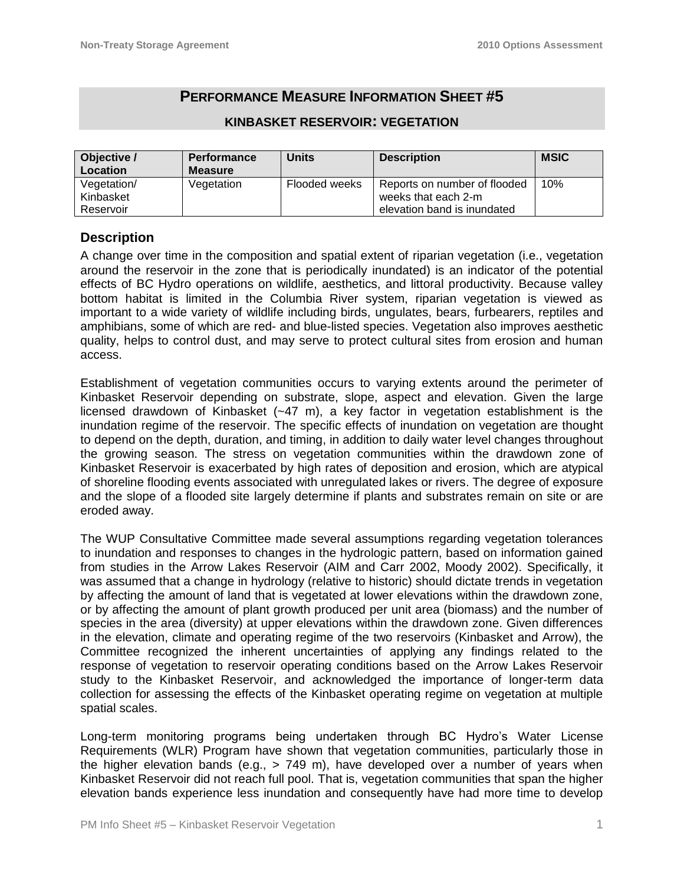# **PERFORMANCE MEASURE INFORMATION SHEET #5**

| Objective /<br>Location | <b>Performance</b><br><b>Measure</b> | <b>Units</b>  | <b>Description</b>           | <b>MSIC</b> |
|-------------------------|--------------------------------------|---------------|------------------------------|-------------|
| Vegetation/             | Vegetation                           | Flooded weeks | Reports on number of flooded | 10%         |
| Kinbasket               |                                      |               | weeks that each 2-m          |             |
| Reservoir               |                                      |               | elevation band is inundated  |             |

### **KINBASKET RESERVOIR: VEGETATION**

### **Description**

A change over time in the composition and spatial extent of riparian vegetation (i.e., vegetation around the reservoir in the zone that is periodically inundated) is an indicator of the potential effects of BC Hydro operations on wildlife, aesthetics, and littoral productivity. Because valley bottom habitat is limited in the Columbia River system, riparian vegetation is viewed as important to a wide variety of wildlife including birds, ungulates, bears, furbearers, reptiles and amphibians, some of which are red- and blue-listed species. Vegetation also improves aesthetic quality, helps to control dust, and may serve to protect cultural sites from erosion and human access.

Establishment of vegetation communities occurs to varying extents around the perimeter of Kinbasket Reservoir depending on substrate, slope, aspect and elevation. Given the large licensed drawdown of Kinbasket (~47 m), a key factor in vegetation establishment is the inundation regime of the reservoir. The specific effects of inundation on vegetation are thought to depend on the depth, duration, and timing, in addition to daily water level changes throughout the growing season. The stress on vegetation communities within the drawdown zone of Kinbasket Reservoir is exacerbated by high rates of deposition and erosion, which are atypical of shoreline flooding events associated with unregulated lakes or rivers. The degree of exposure and the slope of a flooded site largely determine if plants and substrates remain on site or are eroded away.

The WUP Consultative Committee made several assumptions regarding vegetation tolerances to inundation and responses to changes in the hydrologic pattern, based on information gained from studies in the Arrow Lakes Reservoir (AIM and Carr 2002, Moody 2002). Specifically, it was assumed that a change in hydrology (relative to historic) should dictate trends in vegetation by affecting the amount of land that is vegetated at lower elevations within the drawdown zone, or by affecting the amount of plant growth produced per unit area (biomass) and the number of species in the area (diversity) at upper elevations within the drawdown zone. Given differences in the elevation, climate and operating regime of the two reservoirs (Kinbasket and Arrow), the Committee recognized the inherent uncertainties of applying any findings related to the response of vegetation to reservoir operating conditions based on the Arrow Lakes Reservoir study to the Kinbasket Reservoir, and acknowledged the importance of longer-term data collection for assessing the effects of the Kinbasket operating regime on vegetation at multiple spatial scales.

Long-term monitoring programs being undertaken through BC Hydro's Water License Requirements (WLR) Program have shown that vegetation communities, particularly those in the higher elevation bands (e.g., > 749 m), have developed over a number of years when Kinbasket Reservoir did not reach full pool. That is, vegetation communities that span the higher elevation bands experience less inundation and consequently have had more time to develop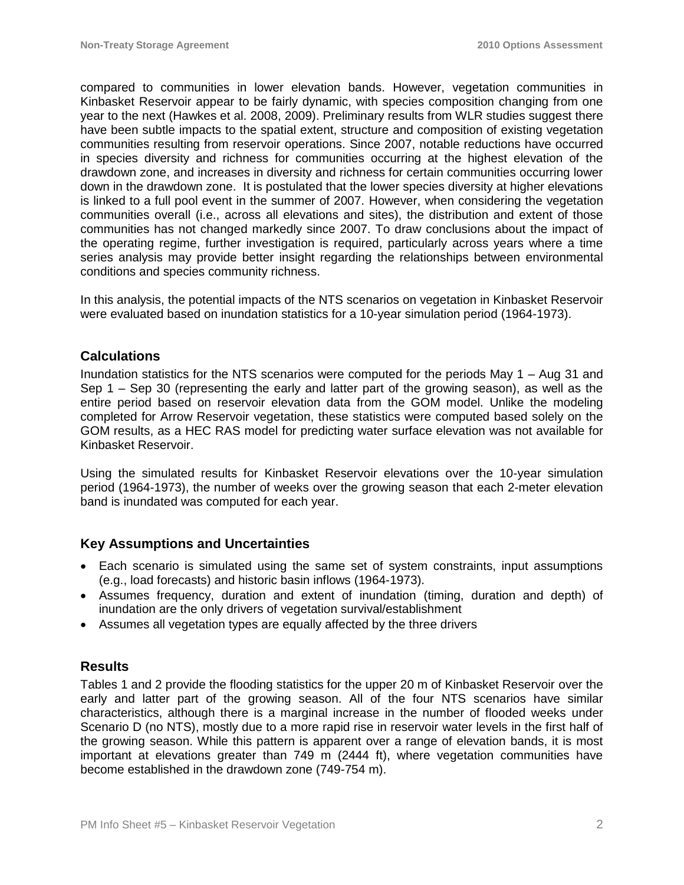compared to communities in lower elevation bands. However, vegetation communities in Kinbasket Reservoir appear to be fairly dynamic, with species composition changing from one year to the next (Hawkes et al. 2008, 2009). Preliminary results from WLR studies suggest there have been subtle impacts to the spatial extent, structure and composition of existing vegetation communities resulting from reservoir operations. Since 2007, notable reductions have occurred in species diversity and richness for communities occurring at the highest elevation of the drawdown zone, and increases in diversity and richness for certain communities occurring lower down in the drawdown zone. It is postulated that the lower species diversity at higher elevations is linked to a full pool event in the summer of 2007. However, when considering the vegetation communities overall (i.e., across all elevations and sites), the distribution and extent of those communities has not changed markedly since 2007. To draw conclusions about the impact of the operating regime, further investigation is required, particularly across years where a time series analysis may provide better insight regarding the relationships between environmental conditions and species community richness.

In this analysis, the potential impacts of the NTS scenarios on vegetation in Kinbasket Reservoir were evaluated based on inundation statistics for a 10-year simulation period (1964-1973).

## **Calculations**

Inundation statistics for the NTS scenarios were computed for the periods May 1 – Aug 31 and Sep 1 – Sep 30 (representing the early and latter part of the growing season), as well as the entire period based on reservoir elevation data from the GOM model. Unlike the modeling completed for Arrow Reservoir vegetation, these statistics were computed based solely on the GOM results, as a HEC RAS model for predicting water surface elevation was not available for Kinbasket Reservoir.

Using the simulated results for Kinbasket Reservoir elevations over the 10-year simulation period (1964-1973), the number of weeks over the growing season that each 2-meter elevation band is inundated was computed for each year.

## **Key Assumptions and Uncertainties**

- Each scenario is simulated using the same set of system constraints, input assumptions (e.g., load forecasts) and historic basin inflows (1964-1973).
- Assumes frequency, duration and extent of inundation (timing, duration and depth) of inundation are the only drivers of vegetation survival/establishment
- Assumes all vegetation types are equally affected by the three drivers

### **Results**

Tables 1 and 2 provide the flooding statistics for the upper 20 m of Kinbasket Reservoir over the early and latter part of the growing season. All of the four NTS scenarios have similar characteristics, although there is a marginal increase in the number of flooded weeks under Scenario D (no NTS), mostly due to a more rapid rise in reservoir water levels in the first half of the growing season. While this pattern is apparent over a range of elevation bands, it is most important at elevations greater than 749 m (2444 ft), where vegetation communities have become established in the drawdown zone (749-754 m).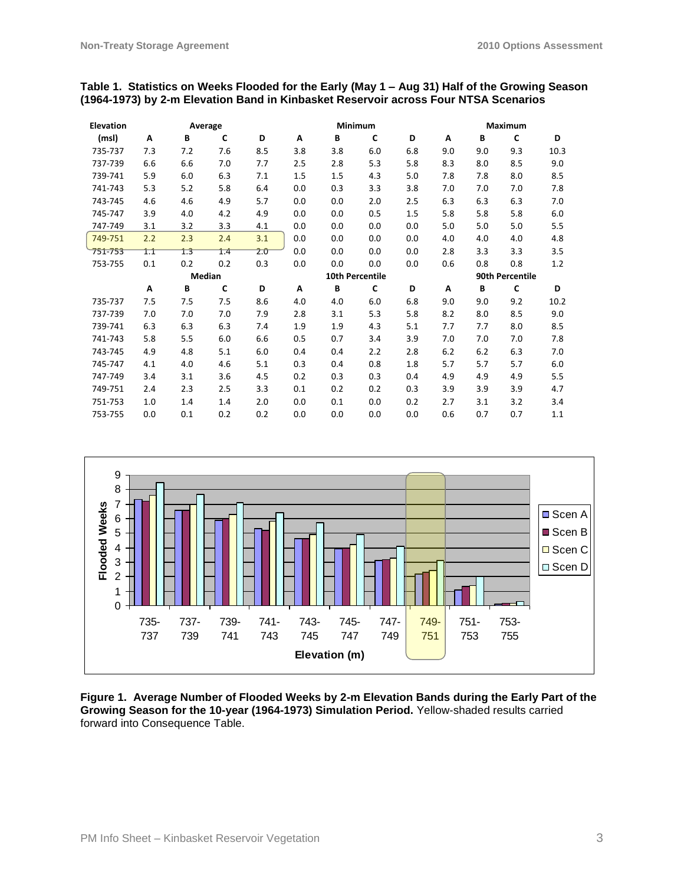### **Table 1. Statistics on Weeks Flooded for the Early (May 1 – Aug 31) Half of the Growing Season (1964-1973) by 2-m Elevation Band in Kinbasket Reservoir across Four NTSA Scenarios**

| <b>Elevation</b> | Average |                  |     |     | Minimum |     |                 |     | <b>Maximum</b> |     |     |      |
|------------------|---------|------------------|-----|-----|---------|-----|-----------------|-----|----------------|-----|-----|------|
| (msl)            | A       | B                | C   | D   | A       | B   | C               | D   | A              | B   | C   | D    |
| 735-737          | 7.3     | 7.2              | 7.6 | 8.5 | 3.8     | 3.8 | 6.0             | 6.8 | 9.0            | 9.0 | 9.3 | 10.3 |
| 737-739          | 6.6     | 6.6              | 7.0 | 7.7 | 2.5     | 2.8 | 5.3             | 5.8 | 8.3            | 8.0 | 8.5 | 9.0  |
| 739-741          | 5.9     | 6.0              | 6.3 | 7.1 | 1.5     | 1.5 | 4.3             | 5.0 | 7.8            | 7.8 | 8.0 | 8.5  |
| 741-743          | 5.3     | 5.2              | 5.8 | 6.4 | 0.0     | 0.3 | 3.3             | 3.8 | 7.0            | 7.0 | 7.0 | 7.8  |
| 743-745          | 4.6     | 4.6              | 4.9 | 5.7 | 0.0     | 0.0 | 2.0             | 2.5 | 6.3            | 6.3 | 6.3 | 7.0  |
| 745-747          | 3.9     | 4.0              | 4.2 | 4.9 | 0.0     | 0.0 | 0.5             | 1.5 | 5.8            | 5.8 | 5.8 | 6.0  |
| 747-749          | 3.1     | 3.2              | 3.3 | 4.1 | 0.0     | 0.0 | 0.0             | 0.0 | 5.0            | 5.0 | 5.0 | 5.5  |
| 749-751          | 2.2     | 2.3              | 2.4 | 3.1 | 0.0     | 0.0 | 0.0             | 0.0 | 4.0            | 4.0 | 4.0 | 4.8  |
| 751-753          | 1.1     | $1.\overline{3}$ | 1.4 | 2.0 | 0.0     | 0.0 | 0.0             | 0.0 | 2.8            | 3.3 | 3.3 | 3.5  |
| 753-755          | 0.1     | 0.2              | 0.2 | 0.3 | 0.0     | 0.0 | 0.0             | 0.0 | 0.6            | 0.8 | 0.8 | 1.2  |
|                  | Median  |                  |     |     |         |     | 90th Percentile |     |                |     |     |      |
|                  |         |                  |     |     |         |     | 10th Percentile |     |                |     |     |      |
|                  | A       | B                | C   | D   | A       | B   | C               | D   | A              | B   | C   | D    |
| 735-737          | 7.5     | 7.5              | 7.5 | 8.6 | 4.0     | 4.0 | 6.0             | 6.8 | 9.0            | 9.0 | 9.2 | 10.2 |
| 737-739          | 7.0     | 7.0              | 7.0 | 7.9 | 2.8     | 3.1 | 5.3             | 5.8 | 8.2            | 8.0 | 8.5 | 9.0  |
| 739-741          | 6.3     | 6.3              | 6.3 | 7.4 | 1.9     | 1.9 | 4.3             | 5.1 | 7.7            | 7.7 | 8.0 | 8.5  |
| 741-743          | 5.8     | 5.5              | 6.0 | 6.6 | 0.5     | 0.7 | 3.4             | 3.9 | 7.0            | 7.0 | 7.0 | 7.8  |
| 743-745          | 4.9     | 4.8              | 5.1 | 6.0 | 0.4     | 0.4 | 2.2             | 2.8 | 6.2            | 6.2 | 6.3 | 7.0  |
| 745-747          | 4.1     | 4.0              | 4.6 | 5.1 | 0.3     | 0.4 | 0.8             | 1.8 | 5.7            | 5.7 | 5.7 | 6.0  |
| 747-749          | 3.4     | 3.1              | 3.6 | 4.5 | 0.2     | 0.3 | 0.3             | 0.4 | 4.9            | 4.9 | 4.9 | 5.5  |
| 749-751          | 2.4     | 2.3              | 2.5 | 3.3 | 0.1     | 0.2 | 0.2             | 0.3 | 3.9            | 3.9 | 3.9 | 4.7  |
| 751-753          | 1.0     | 1.4              | 1.4 | 2.0 | 0.0     | 0.1 | 0.0             | 0.2 | 2.7            | 3.1 | 3.2 | 3.4  |



**Figure 1. Average Number of Flooded Weeks by 2-m Elevation Bands during the Early Part of the Growing Season for the 10-year (1964-1973) Simulation Period.** Yellow-shaded results carried forward into Consequence Table.